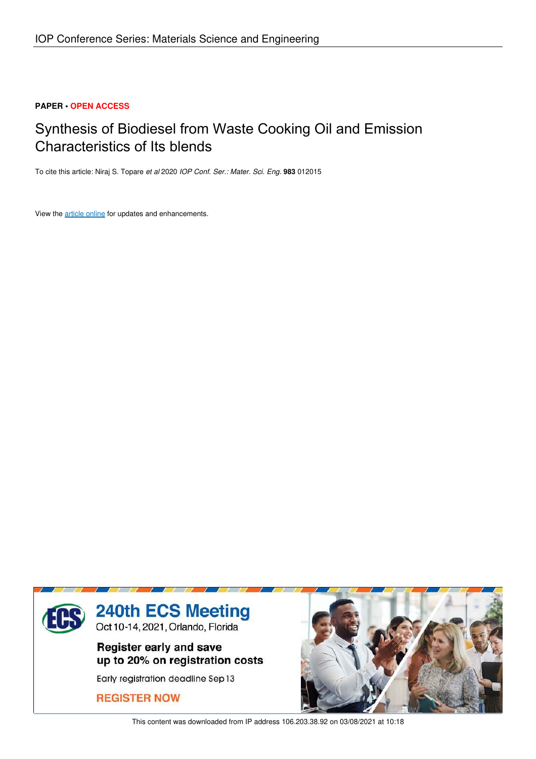# **PAPER • OPEN ACCESS**

# Synthesis of Biodiesel from Waste Cooking Oil and Emission Characteristics of Its blends

To cite this article: Niraj S. Topare *et al* 2020 *IOP Conf. Ser.: Mater. Sci. Eng.* **983** 012015

View the article online for updates and enhancements.



This content was downloaded from IP address 106.203.38.92 on 03/08/2021 at 10:18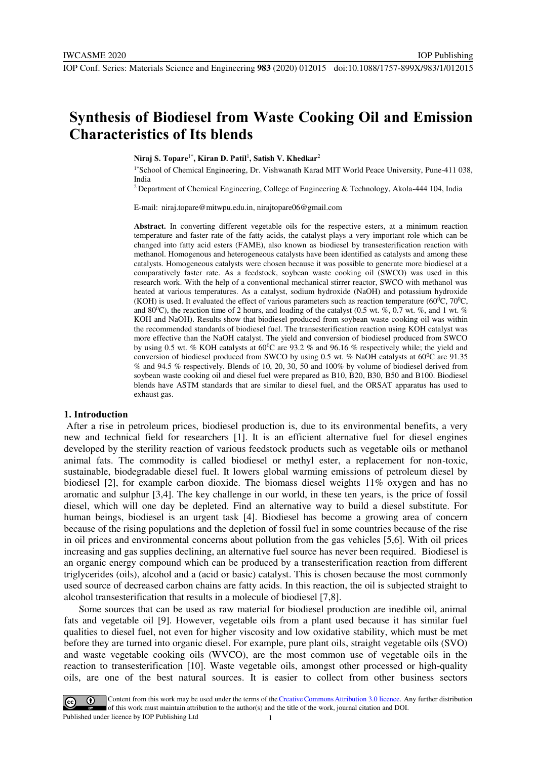# **Synthesis of Biodiesel from Waste Cooking Oil and Emission Characteristics of Its blends**

**Niraj S. Topare**1\***, Kiran D. Patil**<sup>1</sup> **, Satish V. Khedkar**<sup>2</sup>

1\*School of Chemical Engineering, Dr. Vishwanath Karad MIT World Peace University, Pune-411 038, India

IOP Publishing

<sup>2</sup>Department of Chemical Engineering, College of Engineering & Technology, Akola-444 104, India

E-mail: niraj.topare@mitwpu.edu.in, nirajtopare06@gmail.com

**Abstract.** In converting different vegetable oils for the respective esters, at a minimum reaction temperature and faster rate of the fatty acids, the catalyst plays a very important role which can be changed into fatty acid esters (FAME), also known as biodiesel by transesterification reaction with methanol. Homogenous and heterogeneous catalysts have been identified as catalysts and among these catalysts. Homogeneous catalysts were chosen because it was possible to generate more biodiesel at a comparatively faster rate. As a feedstock, soybean waste cooking oil (SWCO) was used in this research work. With the help of a conventional mechanical stirrer reactor, SWCO with methanol was heated at various temperatures. As a catalyst, sodium hydroxide (NaOH) and potassium hydroxide (KOH) is used. It evaluated the effect of various parameters such as reaction temperature (60<sup>o</sup>C, 70<sup>o</sup>C, and 80<sup>0</sup>C), the reaction time of 2 hours, and loading of the catalyst (0.5 wt. %, 0.7 wt. %, and 1 wt. % KOH and NaOH). Results show that biodiesel produced from soybean waste cooking oil was within the recommended standards of biodiesel fuel. The transesterification reaction using KOH catalyst was more effective than the NaOH catalyst. The yield and conversion of biodiesel produced from SWCO by using 0.5 wt. % KOH catalysts at  $60^{\circ}$ C are 93.2 % and 96.16 % respectively while; the yield and conversion of biodiesel produced from SWCO by using 0.5 wt. % NaOH catalysts at  $60^{\circ}$ C are 91.35 % and 94.5 % respectively. Blends of 10, 20, 30, 50 and 100% by volume of biodiesel derived from soybean waste cooking oil and diesel fuel were prepared as B10, B20, B30, B50 and B100. Biodiesel blends have ASTM standards that are similar to diesel fuel, and the ORSAT apparatus has used to exhaust gas.

#### **1. Introduction**

 After a rise in petroleum prices, biodiesel production is, due to its environmental benefits, a very new and technical field for researchers [1]. It is an efficient alternative fuel for diesel engines developed by the sterility reaction of various feedstock products such as vegetable oils or methanol animal fats. The commodity is called biodiesel or methyl ester, a replacement for non-toxic, sustainable, biodegradable diesel fuel. It lowers global warming emissions of petroleum diesel by biodiesel [2], for example carbon dioxide. The biomass diesel weights 11% oxygen and has no aromatic and sulphur [3,4]. The key challenge in our world, in these ten years, is the price of fossil diesel, which will one day be depleted. Find an alternative way to build a diesel substitute. For human beings, biodiesel is an urgent task [4]. Biodiesel has become a growing area of concern because of the rising populations and the depletion of fossil fuel in some countries because of the rise in oil prices and environmental concerns about pollution from the gas vehicles [5,6]. With oil prices increasing and gas supplies declining, an alternative fuel source has never been required. Biodiesel is an organic energy compound which can be produced by a transesterification reaction from different triglycerides (oils), alcohol and a (acid or basic) catalyst. This is chosen because the most commonly used source of decreased carbon chains are fatty acids. In this reaction, the oil is subjected straight to alcohol transesterification that results in a molecule of biodiesel [7,8].

 Some sources that can be used as raw material for biodiesel production are inedible oil, animal fats and vegetable oil [9]. However, vegetable oils from a plant used because it has similar fuel qualities to diesel fuel, not even for higher viscosity and low oxidative stability, which must be met before they are turned into organic diesel. For example, pure plant oils, straight vegetable oils (SVO) and waste vegetable cooking oils (WVCO), are the most common use of vegetable oils in the reaction to transesterification [10]. Waste vegetable oils, amongst other processed or high-quality oils, are one of the best natural sources. It is easier to collect from other business sectors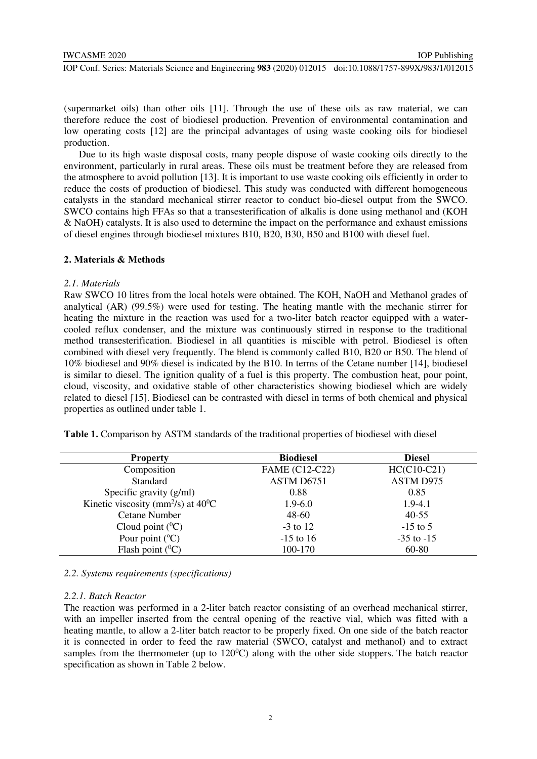IOP Publishing

(supermarket oils) than other oils [11]. Through the use of these oils as raw material, we can therefore reduce the cost of biodiesel production. Prevention of environmental contamination and low operating costs [12] are the principal advantages of using waste cooking oils for biodiesel production.

 Due to its high waste disposal costs, many people dispose of waste cooking oils directly to the environment, particularly in rural areas. These oils must be treatment before they are released from the atmosphere to avoid pollution [13]. It is important to use waste cooking oils efficiently in order to reduce the costs of production of biodiesel. This study was conducted with different homogeneous catalysts in the standard mechanical stirrer reactor to conduct bio-diesel output from the SWCO. SWCO contains high FFAs so that a transesterification of alkalis is done using methanol and (KOH & NaOH) catalysts. It is also used to determine the impact on the performance and exhaust emissions of diesel engines through biodiesel mixtures B10, B20, B30, B50 and B100 with diesel fuel.

### **2. Materials & Methods**

# *2.1. Materials*

Raw SWCO 10 litres from the local hotels were obtained. The KOH, NaOH and Methanol grades of analytical (AR) (99.5%) were used for testing. The heating mantle with the mechanic stirrer for heating the mixture in the reaction was used for a two-liter batch reactor equipped with a watercooled reflux condenser, and the mixture was continuously stirred in response to the traditional method transesterification. Biodiesel in all quantities is miscible with petrol. Biodiesel is often combined with diesel very frequently. The blend is commonly called B10, B20 or B50. The blend of 10% biodiesel and 90% diesel is indicated by the B10. In terms of the Cetane number [14], biodiesel is similar to diesel. The ignition quality of a fuel is this property. The combustion heat, pour point, cloud, viscosity, and oxidative stable of other characteristics showing biodiesel which are widely related to diesel [15]. Biodiesel can be contrasted with diesel in terms of both chemical and physical properties as outlined under table 1.

| <b>Property</b>                                          | <b>Biodiesel</b>      | <b>Diesel</b>    |  |  |
|----------------------------------------------------------|-----------------------|------------------|--|--|
| Composition                                              | <b>FAME</b> (C12-C22) | $HC(C10-C21)$    |  |  |
| Standard                                                 | ASTM D6751            | <b>ASTM D975</b> |  |  |
| Specific gravity (g/ml)                                  | 0.88                  | 0.85             |  |  |
| Kinetic viscosity (mm <sup>2</sup> /s) at $40^{\circ}$ C | $1.9 - 6.0$           | $1.9 - 4.1$      |  |  |
| <b>Cetane Number</b>                                     | $48 - 60$             | $40 - 55$        |  |  |
| Cloud point $(^0C)$                                      | $-3$ to 12            | $-15$ to 5       |  |  |
| Pour point $({}^{\circ}C)$                               | $-15$ to 16           | $-35$ to $-15$   |  |  |
| Flash point $(^{0}C)$                                    | 100-170               | 60-80            |  |  |

Table 1. Comparison by ASTM standards of the traditional properties of biodiesel with diesel

#### *2.2. Systems requirements (specifications)*

#### *2.2.1. Batch Reactor*

The reaction was performed in a 2-liter batch reactor consisting of an overhead mechanical stirrer, with an impeller inserted from the central opening of the reactive vial, which was fitted with a heating mantle, to allow a 2-liter batch reactor to be properly fixed. On one side of the batch reactor it is connected in order to feed the raw material (SWCO, catalyst and methanol) and to extract samples from the thermometer (up to  $120^{\circ}$ C) along with the other side stoppers. The batch reactor specification as shown in Table 2 below.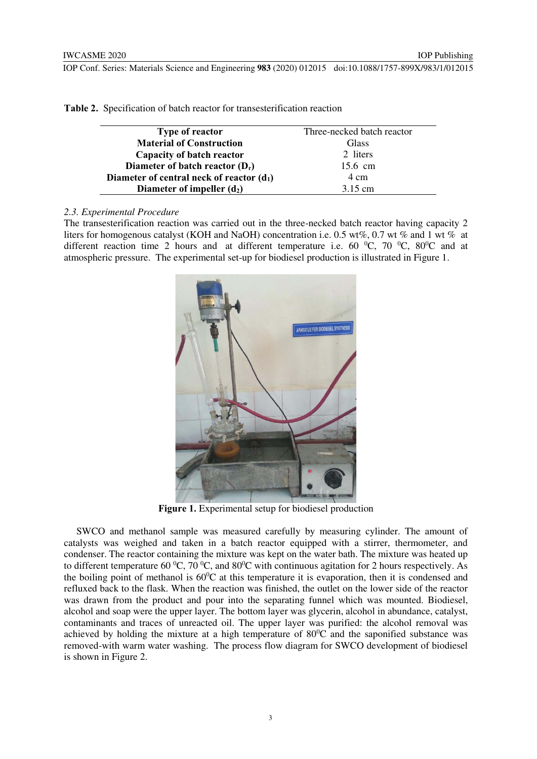| <b>Type of reactor</b>                      | Three-necked batch reactor |
|---------------------------------------------|----------------------------|
| <b>Material of Construction</b>             | Glass                      |
| Capacity of batch reactor                   | 2 liters                   |
| Diameter of batch reactor $(D_r)$           | 15.6 cm                    |
| Diameter of central neck of reactor $(d_1)$ | 4 cm                       |
| Diameter of impeller $(d_2)$                | $3.15$ cm                  |

**Table 2.** Specification of batch reactor for transesterification reaction

# *2.3. Experimental Procedure*

The transesterification reaction was carried out in the three-necked batch reactor having capacity 2 liters for homogenous catalyst (KOH and NaOH) concentration i.e. 0.5 wt%, 0.7 wt % and 1 wt % at different reaction time 2 hours and at different temperature i.e. 60  $^{\circ}$ C, 70  $^{\circ}$ C, 80 $^{\circ}$ C and at atmospheric pressure. The experimental set-up for biodiesel production is illustrated in Figure 1.



Figure 1. Experimental setup for biodiesel production

 SWCO and methanol sample was measured carefully by measuring cylinder. The amount of catalysts was weighed and taken in a batch reactor equipped with a stirrer, thermometer, and condenser. The reactor containing the mixture was kept on the water bath. The mixture was heated up to different temperature 60  $^{\circ}C$ , 70  $^{\circ}C$ , and 80 $^{\circ}C$  with continuous agitation for 2 hours respectively. As the boiling point of methanol is  $60^{\circ}$ C at this temperature it is evaporation, then it is condensed and refluxed back to the flask. When the reaction was finished, the outlet on the lower side of the reactor was drawn from the product and pour into the separating funnel which was mounted. Biodiesel, alcohol and soap were the upper layer. The bottom layer was glycerin, alcohol in abundance, catalyst, contaminants and traces of unreacted oil. The upper layer was purified: the alcohol removal was achieved by holding the mixture at a high temperature of  $80^{\circ}$ C and the saponified substance was removed-with warm water washing. The process flow diagram for SWCO development of biodiesel is shown in Figure 2.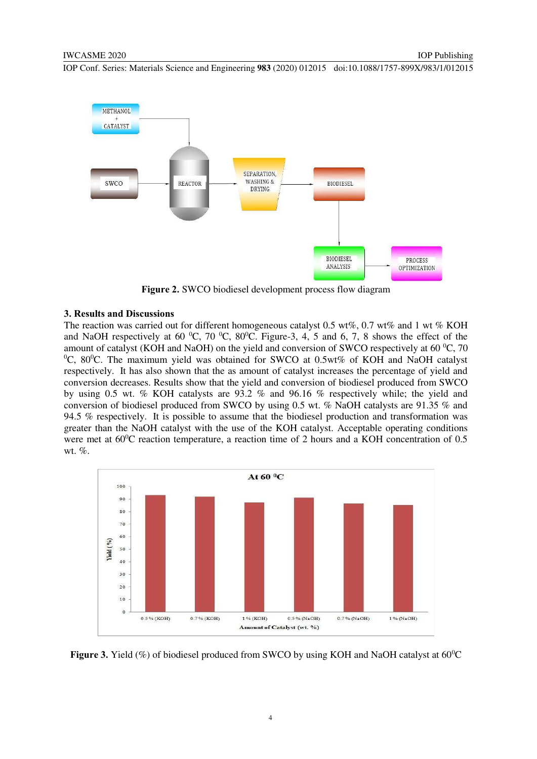

**Figure 2.** SWCO biodiesel development process flow diagram

# **3. Results and Discussions**

The reaction was carried out for different homogeneous catalyst 0.5 wt%, 0.7 wt% and 1 wt % KOH and NaOH respectively at 60  $^{\circ}$ C, 70  $^{\circ}$ C, 80 $^{\circ}$ C. Figure-3, 4, 5 and 6, 7, 8 shows the effect of the amount of catalyst (KOH and NaOH) on the yield and conversion of SWCO respectively at 60  $\degree$ C, 70  $\rm{^{0}C}$ , 80 $\rm{^{0}C}$ . The maximum yield was obtained for SWCO at 0.5wt% of KOH and NaOH catalyst respectively. It has also shown that the as amount of catalyst increases the percentage of yield and conversion decreases. Results show that the yield and conversion of biodiesel produced from SWCO by using 0.5 wt. % KOH catalysts are 93.2 % and 96.16 % respectively while; the yield and conversion of biodiesel produced from SWCO by using 0.5 wt. % NaOH catalysts are 91.35 % and 94.5 % respectively. It is possible to assume that the biodiesel production and transformation was greater than the NaOH catalyst with the use of the KOH catalyst. Acceptable operating conditions were met at  $60^{\circ}$ C reaction temperature, a reaction time of 2 hours and a KOH concentration of 0.5 wt. %.



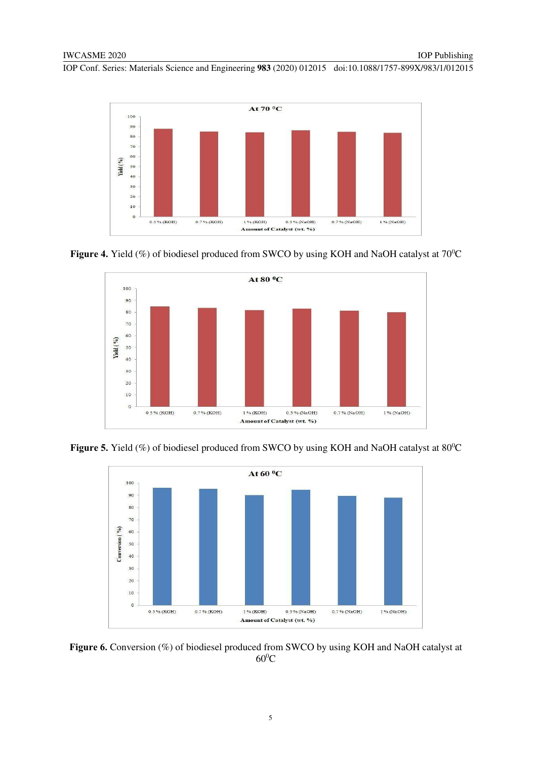

**Figure 4.** Yield (%) of biodiesel produced from SWCO by using KOH and NaOH catalyst at 70<sup>o</sup>C



Figure 5. Yield (%) of biodiesel produced from SWCO by using KOH and NaOH catalyst at 80<sup>°</sup>C



Figure 6. Conversion (%) of biodiesel produced from SWCO by using KOH and NaOH catalyst at  $60^0C$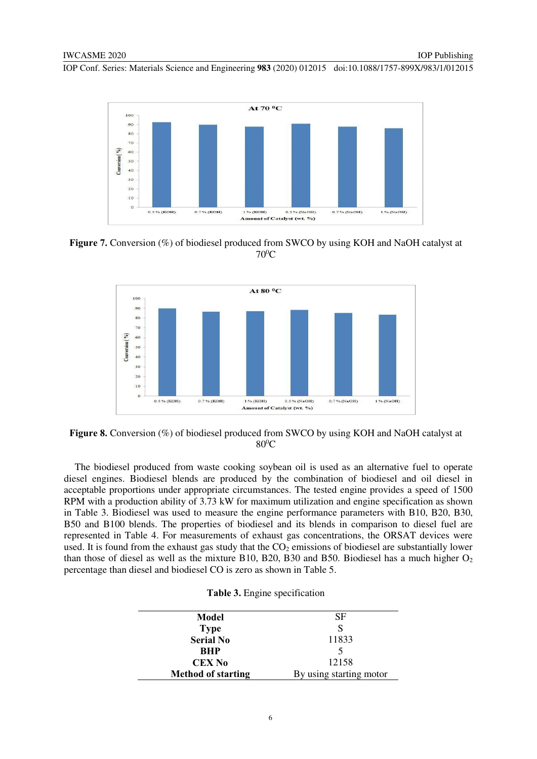

**Figure 7.** Conversion (%) of biodiesel produced from SWCO by using KOH and NaOH catalyst at  $70^0C$ 



**Figure 8.** Conversion (%) of biodiesel produced from SWCO by using KOH and NaOH catalyst at  $80^0C$ 

The biodiesel produced from waste cooking soybean oil is used as an alternative fuel to operate diesel engines. Biodiesel blends are produced by the combination of biodiesel and oil diesel in acceptable proportions under appropriate circumstances. The tested engine provides a speed of 1500 RPM with a production ability of 3.73 kW for maximum utilization and engine specification as shown in Table 3. Biodiesel was used to measure the engine performance parameters with B10, B20, B30, B50 and B100 blends. The properties of biodiesel and its blends in comparison to diesel fuel are represented in Table 4. For measurements of exhaust gas concentrations, the ORSAT devices were used. It is found from the exhaust gas study that the  $CO<sub>2</sub>$  emissions of biodiesel are substantially lower than those of diesel as well as the mixture B10, B20, B30 and B50. Biodiesel has a much higher  $O<sub>2</sub>$ percentage than diesel and biodiesel CO is zero as shown in Table 5.

|  |  |  | Table 3. Engine specification |
|--|--|--|-------------------------------|
|--|--|--|-------------------------------|

| Model                     | <b>SF</b>               |
|---------------------------|-------------------------|
| <b>Type</b>               | S                       |
| <b>Serial No</b>          | 11833                   |
| <b>BHP</b>                |                         |
| <b>CEX No</b>             | 12158                   |
| <b>Method of starting</b> | By using starting motor |